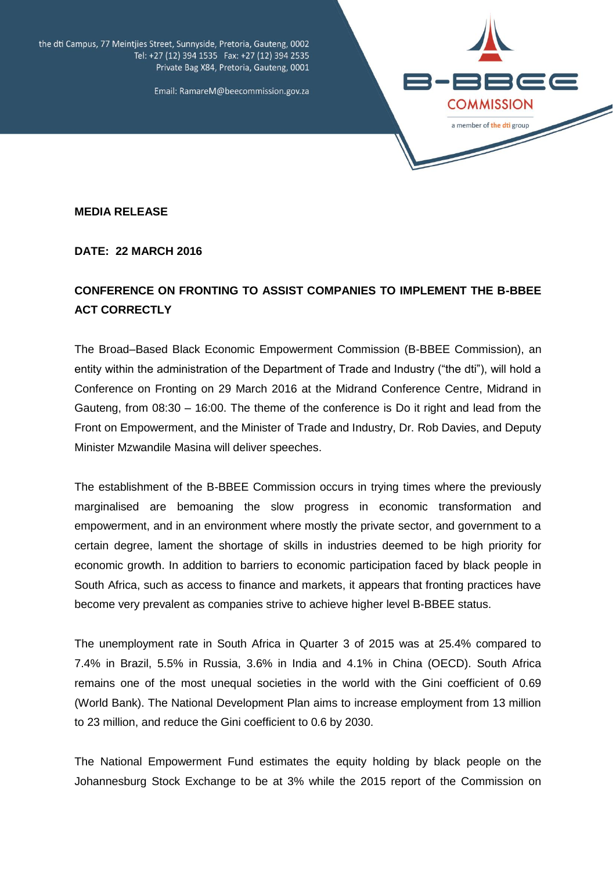

the dti Campus, 77 Meintjies Street, Sunnyside, Pretoria, Gauteng, 0002 Tel: +27 (12) 394 1535 Fax: +27 (12) 394 2535 Private Bag X84, Pretoria, Gauteng, 0001

Email: RamareM@beecommission.gov.za

**MEDIA RELEASE** 

**DATE: 22 MARCH 2016**

## **CONFERENCE ON FRONTING TO ASSIST COMPANIES TO IMPLEMENT THE B-BBEE ACT CORRECTLY**

The Broad–Based Black Economic Empowerment Commission (B-BBEE Commission), an entity within the administration of the Department of Trade and Industry ("the dti"), will hold a Conference on Fronting on 29 March 2016 at the Midrand Conference Centre, Midrand in Gauteng, from 08:30 – 16:00. The theme of the conference is Do it right and lead from the Front on Empowerment, and the Minister of Trade and Industry, Dr. Rob Davies, and Deputy Minister Mzwandile Masina will deliver speeches.

The establishment of the B-BBEE Commission occurs in trying times where the previously marginalised are bemoaning the slow progress in economic transformation and empowerment, and in an environment where mostly the private sector, and government to a certain degree, lament the shortage of skills in industries deemed to be high priority for economic growth. In addition to barriers to economic participation faced by black people in South Africa, such as access to finance and markets, it appears that fronting practices have become very prevalent as companies strive to achieve higher level B-BBEE status.

The unemployment rate in South Africa in Quarter 3 of 2015 was at 25.4% compared to 7.4% in Brazil, 5.5% in Russia, 3.6% in India and 4.1% in China (OECD). South Africa remains one of the most unequal societies in the world with the Gini coefficient of 0.69 (World Bank). The National Development Plan aims to increase employment from 13 million to 23 million, and reduce the Gini coefficient to 0.6 by 2030.

The National Empowerment Fund estimates the equity holding by black people on the Johannesburg Stock Exchange to be at 3% while the 2015 report of the Commission on